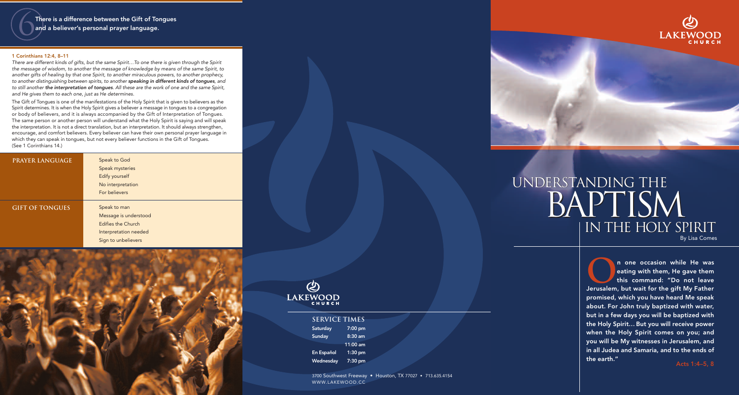**O**n one occasion while He was<br>eating with them, He gave them<br>this command: "Do not leave eating with them, He gave them Jerusalem, but wait for the gift My Father promised, which you have heard Me speak about. For John truly baptized with water, but in a few days you will be baptized with the Holy Spirit… But you will receive power when the Holy Spirit comes on you; and you will be My witnesses in Jerusalem, and in all Judea and Samaria, and to the ends of the earth." Acts 1:4–5, 8

There is a difference between the Gift of Tongues and a believer's personal prayer language.

#### 1 Corinthians 12:4, 8–11

*There are different kinds of gifts, but the same Spirit…To one there is given through the Spirit the message of wisdom, to another the message of knowledge by means of the same Spirit, to another gifts of healing by that one Spirit, to another miraculous powers, to another prophecy, to another distinguishing between spirits, to another speaking in different kinds of tongues, and to still another the interpretation of tongues. All these are the work of one and the same Spirit, and He gives them to each one, just as He determines.*

# UNDERSTANDING THE IN THE HOLY SPIRIT BAPTISM By Lisa Comes



The Gift of Tongues is one of the manifestations of the Holy Spirit that is given to believers as the Spirit determines. It is when the Holy Spirit gives a believer a message in tongues to a congregation or body of believers, and it is always accompanied by the Gift of Interpretation of Tongues. The same person or another person will understand what the Holy Spirit is saying and will speak the interpretation. It is not a direct translation, but an interpretation. It should always strengthen, encourage, and comfort believers. Every believer can have their own personal prayer language in which they can speak in tongues, but not every believer functions in the Gift of Tongues. (See 1 Corinthians 14.)

| <b>PRAYER LANGUAGE</b> | Speak to God<br>Speak mysteries<br>Edify yourself<br>No interpretation<br>For believers                            |
|------------------------|--------------------------------------------------------------------------------------------------------------------|
| <b>GIFT OF TONGUES</b> | Speak to man<br>Message is understood<br><b>Edifies the Church</b><br>Interpretation needed<br>Sign to unbelievers |





3700 Southwest Freeway • Houston, TX 77027 • 713.635.4154 WWW.LAKEWOOD.CC



# **Service Times**

| <b>Saturday</b>  | 7:00 pm   |
|------------------|-----------|
| Sunday           | $8:30$ am |
|                  | 11:00 am  |
| En Español       | $1:30$ pm |
| <u>Wednesday</u> | 7:30 pm   |